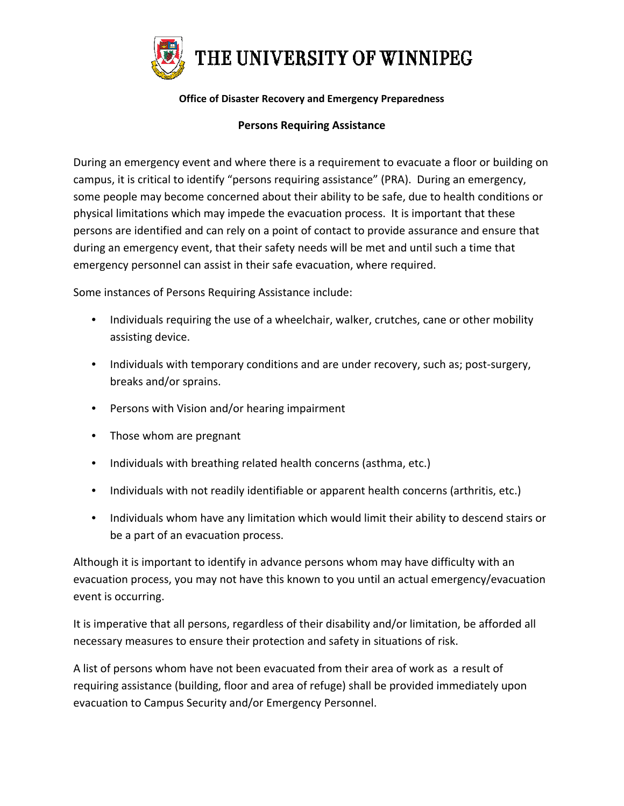

## **Office of Disaster Recovery and Emergency Preparedness**

## **Persons Requiring Assistance**

During an emergency event and where there is a requirement to evacuate a floor or building on campus, it is critical to identify "persons requiring assistance" (PRA). During an emergency, some people may become concerned about their ability to be safe, due to health conditions or physical limitations which may impede the evacuation process. It is important that these persons are identified and can rely on a point of contact to provide assurance and ensure that during an emergency event, that their safety needs will be met and until such a time that emergency personnel can assist in their safe evacuation, where required.

Some instances of Persons Requiring Assistance include:

- Individuals requiring the use of a wheelchair, walker, crutches, cane or other mobility assisting device.
- Individuals with temporary conditions and are under recovery, such as; post-surgery, breaks and/or sprains.
- Persons with Vision and/or hearing impairment
- Those whom are pregnant
- Individuals with breathing related health concerns (asthma, etc.)
- Individuals with not readily identifiable or apparent health concerns (arthritis, etc.)
- Individuals whom have any limitation which would limit their ability to descend stairs or be a part of an evacuation process.

Although it is important to identify in advance persons whom may have difficulty with an evacuation process, you may not have this known to you until an actual emergency/evacuation event is occurring.

It is imperative that all persons, regardless of their disability and/or limitation, be afforded all necessary measures to ensure their protection and safety in situations of risk.

A list of persons whom have not been evacuated from their area of work as a result of requiring assistance (building, floor and area of refuge) shall be provided immediately upon evacuation to Campus Security and/or Emergency Personnel.